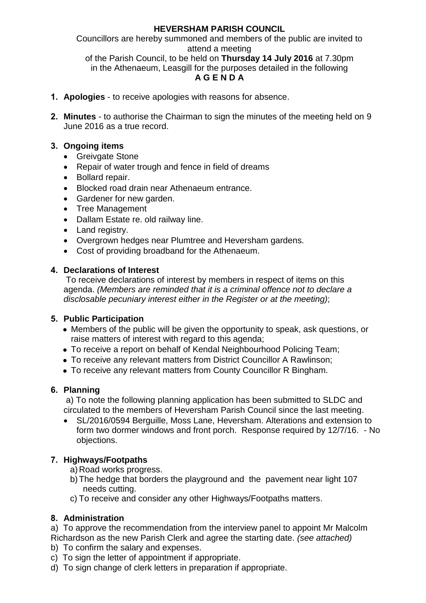# **HEVERSHAM PARISH COUNCIL**

Councillors are hereby summoned and members of the public are invited to attend a meeting

of the Parish Council, to be held on **Thursday 14 July 2016** at 7.30pm in the Athenaeum, Leasgill for the purposes detailed in the following **A G E N D A**

- **1. Apologies** to receive apologies with reasons for absence.
- **2. Minutes** to authorise the Chairman to sign the minutes of the meeting held on 9 June 2016 as a true record.

# **3. Ongoing items**

- Greivgate Stone
- Repair of water trough and fence in field of dreams
- Bollard repair.
- Blocked road drain near Athenaeum entrance.
- Gardener for new garden.
- Tree Management
- Dallam Estate re. old railway line.
- Land registry.
- Overgrown hedges near Plumtree and Heversham gardens.
- Cost of providing broadband for the Athenaeum.

### **4. Declarations of Interest**

To receive declarations of interest by members in respect of items on this agenda. *(Members are reminded that it is a criminal offence not to declare a disclosable pecuniary interest either in the Register or at the meeting)*;

# **5. Public Participation**

- Members of the public will be given the opportunity to speak, ask questions, or raise matters of interest with regard to this agenda;
- To receive a report on behalf of Kendal Neighbourhood Policing Team;
- To receive any relevant matters from District Councillor A Rawlinson;
- To receive any relevant matters from County Councillor R Bingham.

#### **6. Planning**

a) To note the following planning application has been submitted to SLDC and circulated to the members of Heversham Parish Council since the last meeting.

 SL/2016/0594 Berguille, Moss Lane, Heversham. Alterations and extension to form two dormer windows and front porch. Response required by 12/7/16. - No objections.

# **7. Highways/Footpaths**

- a) Road works progress.
- b) The hedge that borders the playground and the pavement near light 107 needs cutting.
- c) To receive and consider any other Highways/Footpaths matters.

# **8. Administration**

a) To approve the recommendation from the interview panel to appoint Mr Malcolm Richardson as the new Parish Clerk and agree the starting date. *(see attached)*

- b) To confirm the salary and expenses.
- c) To sign the letter of appointment if appropriate.
- d) To sign change of clerk letters in preparation if appropriate.